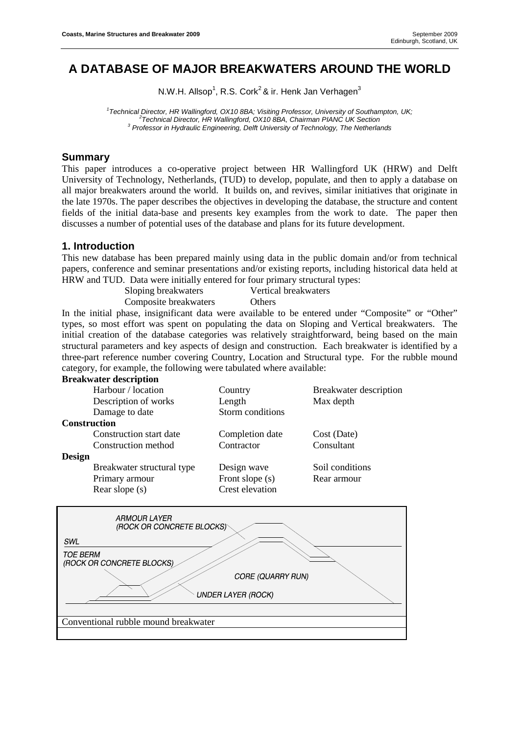# **A DATABASE OF MAJOR BREAKWATERS AROUND THE WORLD**

N.W.H. Allsop<sup>1</sup>, R.S. Cork<sup>2</sup> & ir. Henk Jan Verhagen<sup>3</sup>

<sup>1</sup> Technical Director, HR Wallingford, OX10 8BA; Visiting Professor, University of Southampton, UK; <sup>2</sup>Technical Director, HR Wallingford, OX10 8BA, Chairman PIANC UK Section  $3$  Professor in Hydraulic Engineering, Delft University of Technology, The Netherlands

# **Summary**

This paper introduces a co-operative project between HR Wallingford UK (HRW) and Delft University of Technology, Netherlands, (TUD) to develop, populate, and then to apply a database on all major breakwaters around the world. It builds on, and revives, similar initiatives that originate in the late 1970s. The paper describes the objectives in developing the database, the structure and content fields of the initial data-base and presents key examples from the work to date. The paper then discusses a number of potential uses of the database and plans for its future development.

# **1. Introduction**

This new database has been prepared mainly using data in the public domain and/or from technical papers, conference and seminar presentations and/or existing reports, including historical data held at HRW and TUD. Data were initially entered for four primary structural types:

Sloping breakwaters Vertical breakwaters

Composite breakwaters Others

In the initial phase, insignificant data were available to be entered under "Composite" or "Other" types, so most effort was spent on populating the data on Sloping and Vertical breakwaters. The initial creation of the database categories was relatively straightforward, being based on the main structural parameters and key aspects of design and construction. Each breakwater is identified by a three-part reference number covering Country, Location and Structural type. For the rubble mound category, for example, the following were tabulated where available:

#### **Breakwater description**

|                     | Harbour / location         | Country          | Breakwater description |
|---------------------|----------------------------|------------------|------------------------|
|                     | Description of works       | Length           | Max depth              |
|                     | Damage to date             | Storm conditions |                        |
| <b>Construction</b> |                            |                  |                        |
|                     | Construction start date    | Completion date  | Cost (Date)            |
|                     | Construction method        | Contractor       | Consultant             |
| Design              |                            |                  |                        |
|                     | Breakwater structural type | Design wave      | Soil conditions        |
|                     | Primary armour             | Front slope (s)  | Rear armour            |
|                     | Rear slope (s)             | Crest elevation  |                        |
|                     |                            |                  |                        |

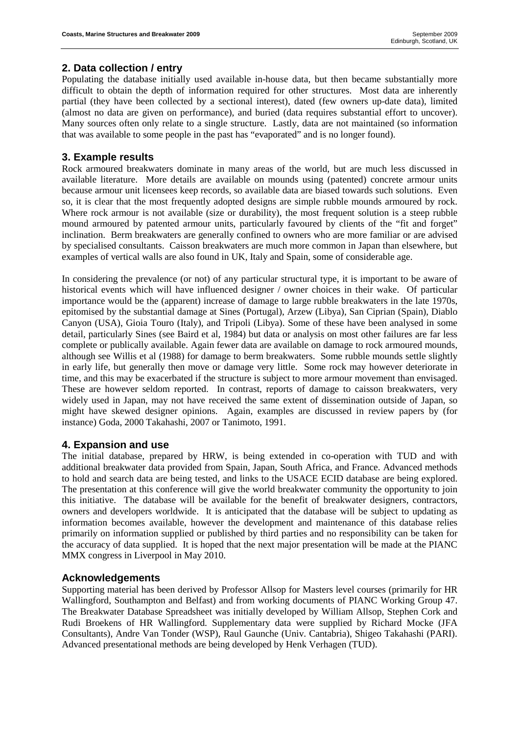# **2. Data collection / entry**

Populating the database initially used available in-house data, but then became substantially more difficult to obtain the depth of information required for other structures. Most data are inherently partial (they have been collected by a sectional interest), dated (few owners up-date data), limited (almost no data are given on performance), and buried (data requires substantial effort to uncover). Many sources often only relate to a single structure. Lastly, data are not maintained (so information that was available to some people in the past has "evaporated" and is no longer found).

# **3. Example results**

Rock armoured breakwaters dominate in many areas of the world, but are much less discussed in available literature. More details are available on mounds using (patented) concrete armour units because armour unit licensees keep records, so available data are biased towards such solutions. Even so, it is clear that the most frequently adopted designs are simple rubble mounds armoured by rock. Where rock armour is not available (size or durability), the most frequent solution is a steep rubble mound armoured by patented armour units, particularly favoured by clients of the "fit and forget" inclination. Berm breakwaters are generally confined to owners who are more familiar or are advised by specialised consultants. Caisson breakwaters are much more common in Japan than elsewhere, but examples of vertical walls are also found in UK, Italy and Spain, some of considerable age.

In considering the prevalence (or not) of any particular structural type, it is important to be aware of historical events which will have influenced designer / owner choices in their wake. Of particular importance would be the (apparent) increase of damage to large rubble breakwaters in the late 1970s, epitomised by the substantial damage at Sines (Portugal), Arzew (Libya), San Ciprian (Spain), Diablo Canyon (USA), Gioia Touro (Italy), and Tripoli (Libya). Some of these have been analysed in some detail, particularly Sines (see Baird et al, 1984) but data or analysis on most other failures are far less complete or publically available. Again fewer data are available on damage to rock armoured mounds, although see Willis et al (1988) for damage to berm breakwaters. Some rubble mounds settle slightly in early life, but generally then move or damage very little. Some rock may however deteriorate in time, and this may be exacerbated if the structure is subject to more armour movement than envisaged. These are however seldom reported. In contrast, reports of damage to caisson breakwaters, very widely used in Japan, may not have received the same extent of dissemination outside of Japan, so might have skewed designer opinions. Again, examples are discussed in review papers by (for instance) Goda, 2000 Takahashi, 2007 or Tanimoto, 1991.

# **4. Expansion and use**

The initial database, prepared by HRW, is being extended in co-operation with TUD and with additional breakwater data provided from Spain, Japan, South Africa, and France. Advanced methods to hold and search data are being tested, and links to the USACE ECID database are being explored. The presentation at this conference will give the world breakwater community the opportunity to join this initiative. The database will be available for the benefit of breakwater designers, contractors, owners and developers worldwide. It is anticipated that the database will be subject to updating as information becomes available, however the development and maintenance of this database relies primarily on information supplied or published by third parties and no responsibility can be taken for the accuracy of data supplied. It is hoped that the next major presentation will be made at the PIANC MMX congress in Liverpool in May 2010.

# **Acknowledgements**

Supporting material has been derived by Professor Allsop for Masters level courses (primarily for HR Wallingford, Southampton and Belfast) and from working documents of PIANC Working Group 47. The Breakwater Database Spreadsheet was initially developed by William Allsop, Stephen Cork and Rudi Broekens of HR Wallingford. Supplementary data were supplied by Richard Mocke (JFA Consultants), Andre Van Tonder (WSP), Raul Gaunche (Univ. Cantabria), Shigeo Takahashi (PARI). Advanced presentational methods are being developed by Henk Verhagen (TUD).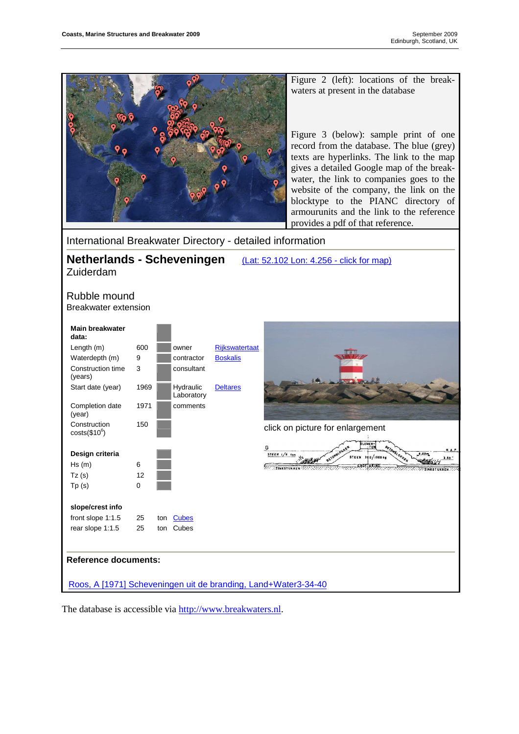

The database is accessible via http://www.breakwaters.nl.